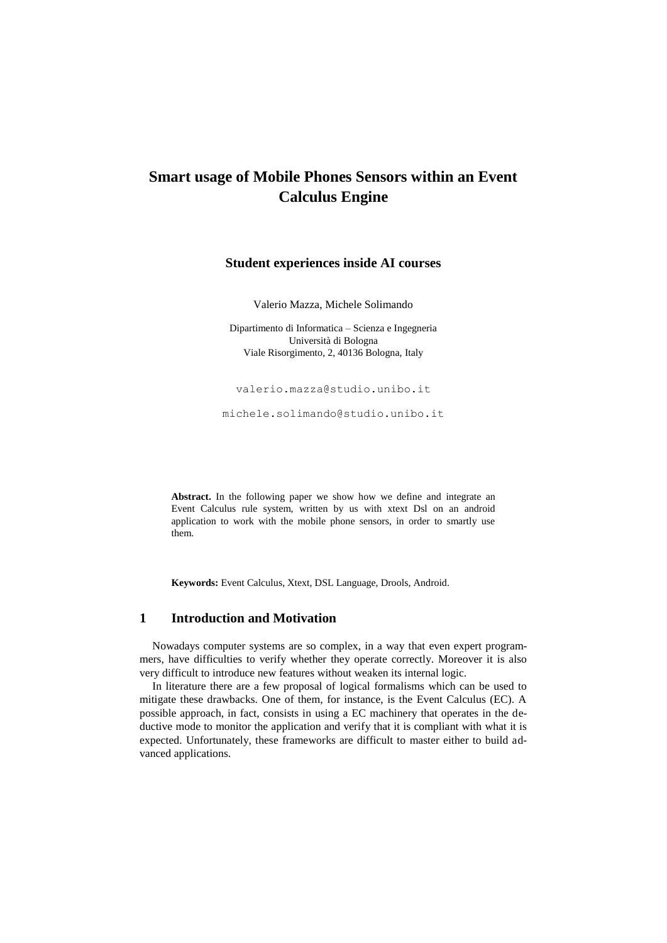# **Smart usage of Mobile Phones Sensors within an Event Calculus Engine**

## **Student experiences inside AI courses**

Valerio Mazza, Michele Solimando

Dipartimento di Informatica – Scienza e Ingegneria Università di Bologna Viale Risorgimento, 2, 40136 Bologna, Italy

valerio.mazza@studio.unibo.it

[michele.solimando@studio.unibo.it](mailto:michele.solimando@studio.unibo.it)

**Abstract.** In the following paper we show how we define and integrate an Event Calculus rule system, written by us with xtext Dsl on an android application to work with the mobile phone sensors, in order to smartly use them.

**Keywords:** Event Calculus, Xtext, DSL Language, Drools, Android.

### **1 Introduction and Motivation**

Nowadays computer systems are so complex, in a way that even expert programmers, have difficulties to verify whether they operate correctly. Moreover it is also very difficult to introduce new features without weaken its internal logic.

In literature there are a few proposal of logical formalisms which can be used to mitigate these drawbacks. One of them, for instance, is the Event Calculus (EC). A possible approach, in fact, consists in using a EC machinery that operates in the deductive mode to monitor the application and verify that it is compliant with what it is expected. Unfortunately, these frameworks are difficult to master either to build advanced applications.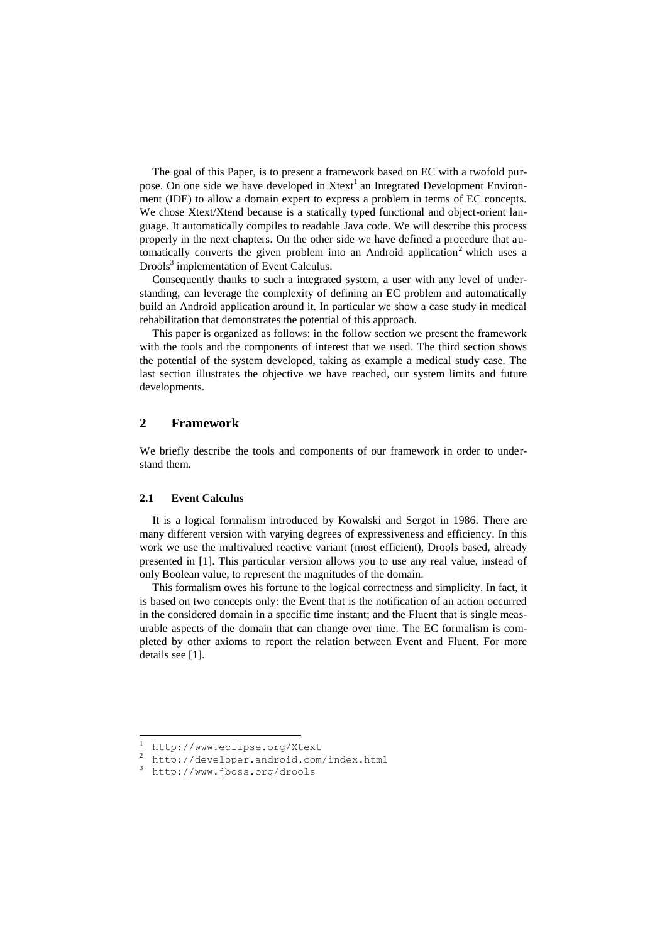The goal of this Paper, is to present a framework based on EC with a twofold purpose. On one side we have developed in Xtext<sup>1</sup> an Integrated Development Environment (IDE) to allow a domain expert to express a problem in terms of EC concepts. We chose Xtext/Xtend because is a statically typed functional and object-orient language. It automatically compiles to readable Java code. We will describe this process properly in the next chapters. On the other side we have defined a procedure that automatically converts the given problem into an Android application<sup>2</sup> which uses a Drools<sup>3</sup> implementation of Event Calculus.

Consequently thanks to such a integrated system, a user with any level of understanding, can leverage the complexity of defining an EC problem and automatically build an Android application around it. In particular we show a case study in medical rehabilitation that demonstrates the potential of this approach.

This paper is organized as follows: in the follow section we present the framework with the tools and the components of interest that we used. The third section shows the potential of the system developed, taking as example a medical study case. The last section illustrates the objective we have reached, our system limits and future developments.

# **2 Framework**

We briefly describe the tools and components of our framework in order to understand them.

### **2.1 Event Calculus**

It is a logical formalism introduced by Kowalski and Sergot in 1986. There are many different version with varying degrees of expressiveness and efficiency. In this work we use the multivalued reactive variant (most efficient), Drools based, already presented in [1]. This particular version allows you to use any real value, instead of only Boolean value, to represent the magnitudes of the domain.

This formalism owes his fortune to the logical correctness and simplicity. In fact, it is based on two concepts only: the Event that is the notification of an action occurred in the considered domain in a specific time instant; and the Fluent that is single measurable aspects of the domain that can change over time. The EC formalism is completed by other axioms to report the relation between Event and Fluent. For more details see [1].

l

<sup>1</sup> http://www.eclipse.org/Xtext

<sup>2</sup> http://developer.android.com/index.html

<sup>3</sup> http://www.jboss.org/drools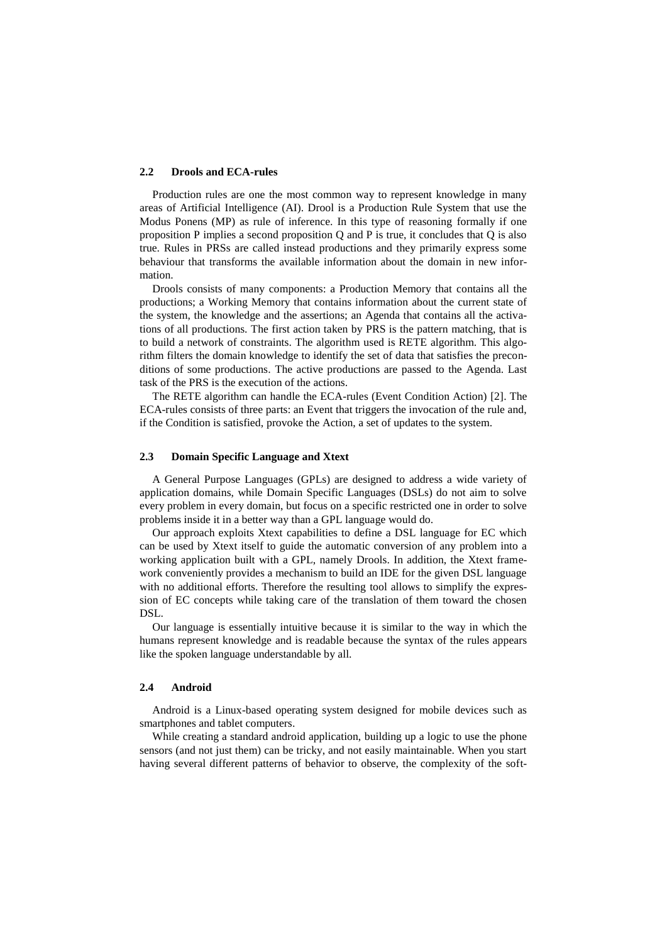#### **2.2 Drools and ECA-rules**

Production rules are one the most common way to represent knowledge in many areas of Artificial Intelligence (AI). Drool is a Production Rule System that use the Modus Ponens (MP) as rule of inference. In this type of reasoning formally if one proposition P implies a second proposition Q and P is true, it concludes that Q is also true. Rules in PRSs are called instead productions and they primarily express some behaviour that transforms the available information about the domain in new information.

Drools consists of many components: a Production Memory that contains all the productions; a Working Memory that contains information about the current state of the system, the knowledge and the assertions; an Agenda that contains all the activations of all productions. The first action taken by PRS is the pattern matching, that is to build a network of constraints. The algorithm used is RETE algorithm. This algorithm filters the domain knowledge to identify the set of data that satisfies the preconditions of some productions. The active productions are passed to the Agenda. Last task of the PRS is the execution of the actions.

The RETE algorithm can handle the ECA-rules (Event Condition Action) [2]. The ECA-rules consists of three parts: an Event that triggers the invocation of the rule and, if the Condition is satisfied, provoke the Action, a set of updates to the system.

#### **2.3 Domain Specific Language and Xtext**

A General Purpose Languages (GPLs) are designed to address a wide variety of application domains, while Domain Specific Languages (DSLs) do not aim to solve every problem in every domain, but focus on a specific restricted one in order to solve problems inside it in a better way than a GPL language would do.

Our approach exploits Xtext capabilities to define a DSL language for EC which can be used by Xtext itself to guide the automatic conversion of any problem into a working application built with a GPL, namely Drools. In addition, the Xtext framework conveniently provides a mechanism to build an IDE for the given DSL language with no additional efforts. Therefore the resulting tool allows to simplify the expression of EC concepts while taking care of the translation of them toward the chosen DSL.

Our language is essentially intuitive because it is similar to the way in which the humans represent knowledge and is readable because the syntax of the rules appears like the spoken language understandable by all.

#### **2.4 Android**

Android is a Linux-based operating system designed for mobile devices such as smartphones and tablet computers.

While creating a standard android application, building up a logic to use the phone sensors (and not just them) can be tricky, and not easily maintainable. When you start having several different patterns of behavior to observe, the complexity of the soft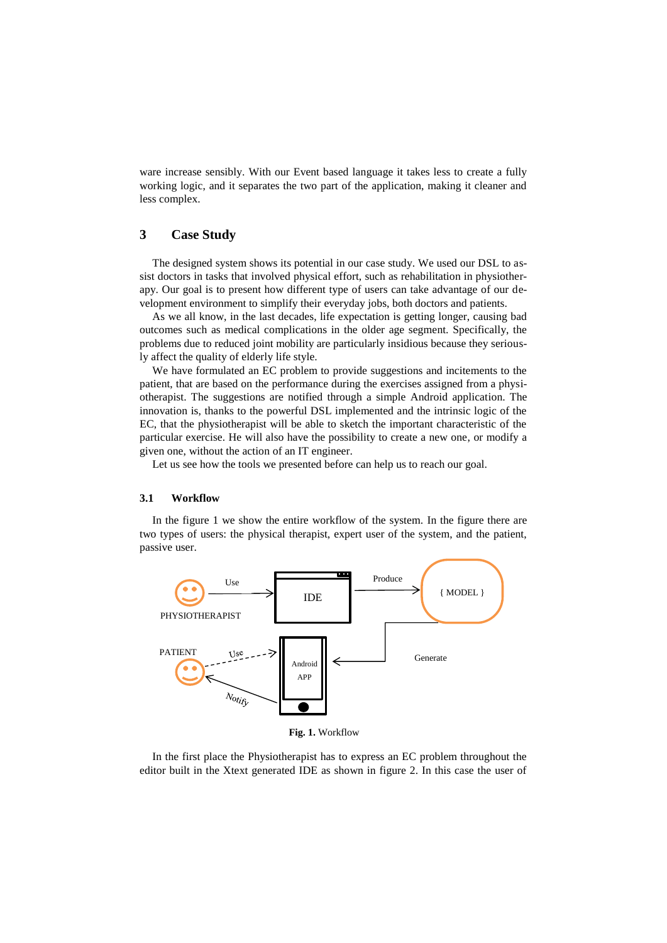ware increase sensibly. With our Event based language it takes less to create a fully working logic, and it separates the two part of the application, making it cleaner and less complex.

# **3 Case Study**

The designed system shows its potential in our case study. We used our DSL to assist doctors in tasks that involved physical effort, such as rehabilitation in physiotherapy. Our goal is to present how different type of users can take advantage of our development environment to simplify their everyday jobs, both doctors and patients.

As we all know, in the last decades, life expectation is getting longer, causing bad outcomes such as medical complications in the older age segment. Specifically, the problems due to reduced joint mobility are particularly insidious because they seriously affect the quality of elderly life style.

We have formulated an EC problem to provide suggestions and incitements to the patient, that are based on the performance during the exercises assigned from a physiotherapist. The suggestions are notified through a simple Android application. The innovation is, thanks to the powerful DSL implemented and the intrinsic logic of the EC, that the physiotherapist will be able to sketch the important characteristic of the particular exercise. He will also have the possibility to create a new one, or modify a given one, without the action of an IT engineer.

Let us see how the tools we presented before can help us to reach our goal.

### **3.1 Workflow**

In the figure 1 we show the entire workflow of the system. In the figure there are two types of users: the physical therapist, expert user of the system, and the patient, passive user.



**Fig. 1.** Workflow

In the first place the Physiotherapist has to express an EC problem throughout the editor built in the Xtext generated IDE as shown in figure 2. In this case the user of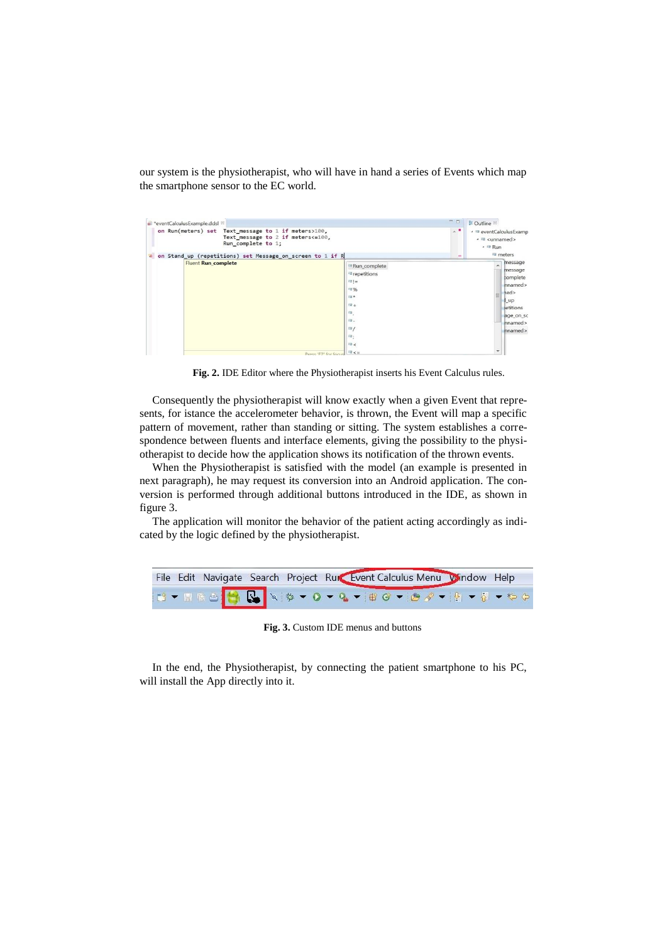our system is the physiotherapist, who will have in hand a series of Events which map the smartphone sensor to the EC world.

| *eventCalculusExample.ddsl <sup>33</sup><br>on Run(meters) set<br>Text message to 1 if meters>100,<br>Text message to 2 if meters<=100,<br>Run complete to 1;<br>on Stand_up (repetitions) set Message_on_screen to 1 if R<br><b>CO</b> | 人名<br><b>ISS</b>                                                                                                      | 운 Outline ※<br>▲ <sup>12</sup> eventCalculusExamp<br>- <sub>■</sub> <unnamed><br/><math>- 12</math> Run<br/><sup>12</sup> meters</unnamed>        |  |
|-----------------------------------------------------------------------------------------------------------------------------------------------------------------------------------------------------------------------------------------|-----------------------------------------------------------------------------------------------------------------------|---------------------------------------------------------------------------------------------------------------------------------------------------|--|
| <b>Fluent Run complete</b><br>Press 'F2' for focus                                                                                                                                                                                      | Run complete<br><b>E</b> repetitions<br>$121 -$<br>理%<br><b>THE R</b><br>$12 +$<br>re,<br>理。<br>E<br>理:<br>m <<br>暖<= | message<br>$\overline{\phantom{a}}$<br>message<br>complete<br>nnamed><br>hed<br>≡<br>$\mathbf{u}$<br>betitions<br>age_on_sc<br>nnamed><br>nnamed> |  |

**Fig. 2.** IDE Editor where the Physiotherapist inserts his Event Calculus rules.

Consequently the physiotherapist will know exactly when a given Event that represents, for istance the accelerometer behavior, is thrown, the Event will map a specific pattern of movement, rather than standing or sitting. The system establishes a correspondence between fluents and interface elements, giving the possibility to the physiotherapist to decide how the application shows its notification of the thrown events.

When the Physiotherapist is satisfied with the model (an example is presented in next paragraph), he may request its conversion into an Android application. The conversion is performed through additional buttons introduced in the IDE, as shown in figure 3.

The application will monitor the behavior of the patient acting accordingly as indicated by the logic defined by the physiotherapist.

| File Edit Navigate Search Project Run Event Calculus Menu Window Help |  |  |  |
|-----------------------------------------------------------------------|--|--|--|
| IS - RRO O & X + 0 - 0 - 8 - 8 0 - 8 4 - 8 - 8 - 0 - 0                |  |  |  |

**Fig. 3.** Custom IDE menus and buttons

In the end, the Physiotherapist, by connecting the patient smartphone to his PC, will install the App directly into it.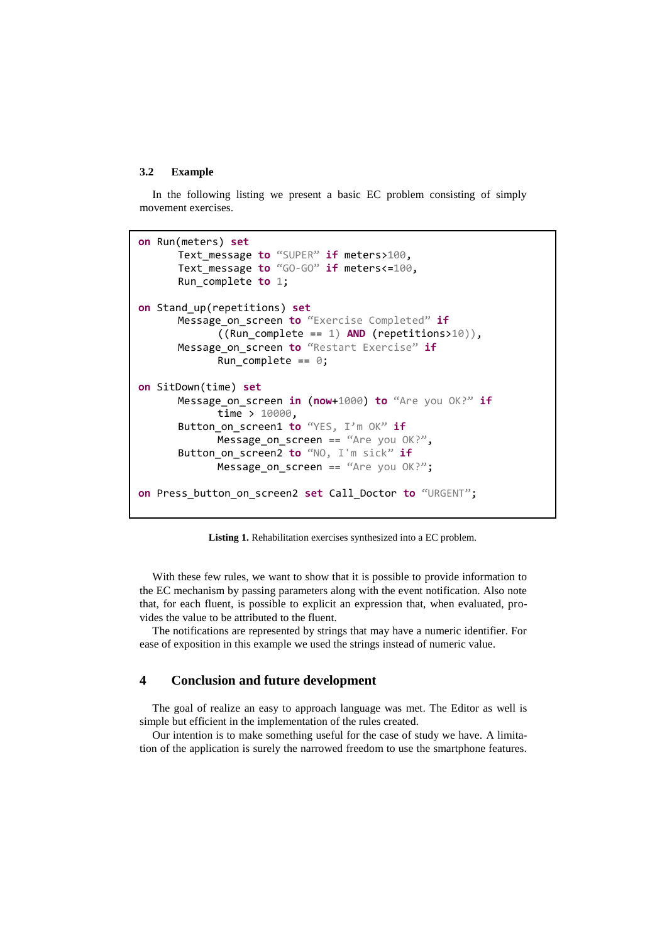#### **3.2 Example**

In the following listing we present a basic EC problem consisting of simply movement exercises.

```
on Run(meters) set
      Text_message to "SUPER" if meters>100, 
      Text_message to "GO-GO" if meters<=100, 
      Run_complete to 1;
on Stand_up(repetitions) set
      Message_on_screen to "Exercise Completed" if
             ((Run_complete == 1) AND (repetitions>10)),
      Message_on_screen to "Restart Exercise" if
             Run_complete == 0;
on SitDown(time) set
      Message_on_screen in (now+1000) to "Are you OK?" if
             time > 10000,
      Button on screen1 to "YES, I'm OK" if
             Message_on_screen == "Are you OK?".
      Button_on_screen2 to "NO, I'm sick" if
             Message on screen == "Are you OK?";
on Press_button_on_screen2 set Call_Doctor to "URGENT";
```
**Listing 1.** Rehabilitation exercises synthesized into a EC problem.

With these few rules, we want to show that it is possible to provide information to the EC mechanism by passing parameters along with the event notification. Also note that, for each fluent, is possible to explicit an expression that, when evaluated, provides the value to be attributed to the fluent.

The notifications are represented by strings that may have a numeric identifier. For ease of exposition in this example we used the strings instead of numeric value.

# **4 Conclusion and future development**

The goal of realize an easy to approach language was met. The Editor as well is simple but efficient in the implementation of the rules created.

Our intention is to make something useful for the case of study we have. A limitation of the application is surely the narrowed freedom to use the smartphone features.